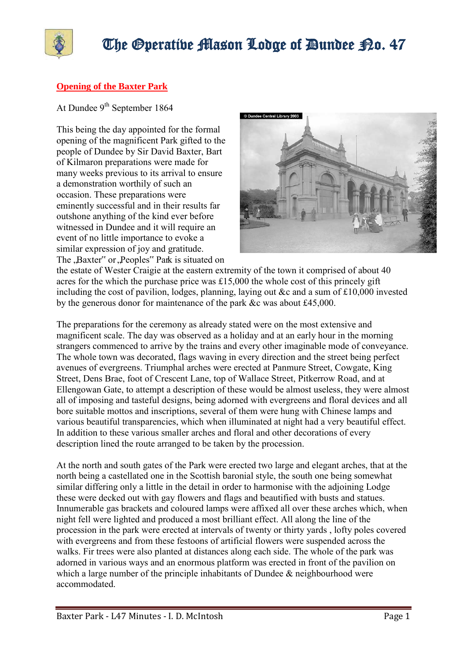

#### **Opening of the Baxter Park**

At Dundee 9<sup>th</sup> September 1864

This being the day appointed for the formal opening of the magnificent Park gifted to the people of Dundee by Sir David Baxter, Bart of Kilmaron preparations were made for many weeks previous to its arrival to ensure a demonstration worthily of such an occasion. These preparations were eminently successful and in their results far outshone anything of the kind ever before witnessed in Dundee and it will require an event of no little importance to evoke a similar expression of joy and gratitude. The , Baxter" or , Peoples" Park is situated on



the estate of Wester Craigie at the eastern extremity of the town it comprised of about 40 acres for the which the purchase price was £15,000 the whole cost of this princely gift including the cost of pavilion, lodges, planning, laying out &c and a sum of £10,000 invested by the generous donor for maintenance of the park &c was about £45,000.

The preparations for the ceremony as already stated were on the most extensive and magnificent scale. The day was observed as a holiday and at an early hour in the morning strangers commenced to arrive by the trains and every other imaginable mode of conveyance. The whole town was decorated, flags waving in every direction and the street being perfect avenues of evergreens. Triumphal arches were erected at Panmure Street, Cowgate, King Street, Dens Brae, foot of Crescent Lane, top of Wallace Street, Pitkerrow Road, and at Ellengowan Gate, to attempt a description of these would be almost useless, they were almost all of imposing and tasteful designs, being adorned with evergreens and floral devices and all bore suitable mottos and inscriptions, several of them were hung with Chinese lamps and various beautiful transparencies, which when illuminated at night had a very beautiful effect. In addition to these various smaller arches and floral and other decorations of every description lined the route arranged to be taken by the procession.

At the north and south gates of the Park were erected two large and elegant arches, that at the north being a castellated one in the Scottish baronial style, the south one being somewhat similar differing only a little in the detail in order to harmonise with the adjoining Lodge these were decked out with gay flowers and flags and beautified with busts and statues. Innumerable gas brackets and coloured lamps were affixed all over these arches which, when night fell were lighted and produced a most brilliant effect. All along the line of the procession in the park were erected at intervals of twenty or thirty yards , lofty poles covered with evergreens and from these festoons of artificial flowers were suspended across the walks. Fir trees were also planted at distances along each side. The whole of the park was adorned in various ways and an enormous platform was erected in front of the pavilion on which a large number of the principle inhabitants of Dundee & neighbourhood were accommodated.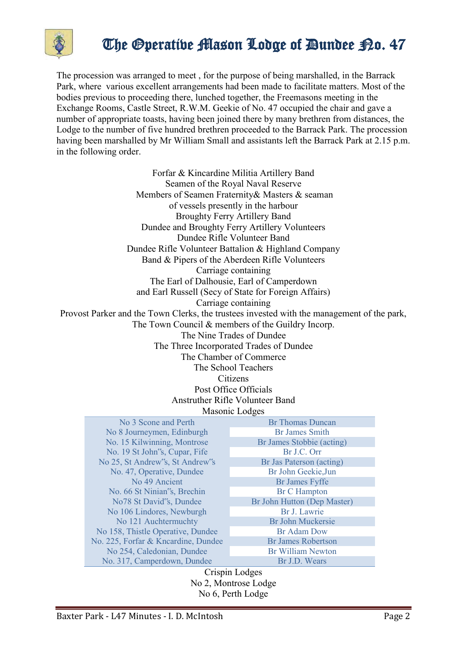

The procession was arranged to meet , for the purpose of being marshalled, in the Barrack Park, where various excellent arrangements had been made to facilitate matters. Most of the bodies previous to proceeding there, lunched together, the Freemasons meeting in the Exchange Rooms, Castle Street, R.W.M. Geekie of No. 47 occupied the chair and gave a number of appropriate toasts, having been joined there by many brethren from distances, the Lodge to the number of five hundred brethren proceeded to the Barrack Park. The procession having been marshalled by Mr William Small and assistants left the Barrack Park at 2.15 p.m. in the following order.

Forfar & Kincardine Militia Artillery Band Seamen of the Royal Naval Reserve Members of Seamen Fraternity& Masters & seaman of vessels presently in the harbour Broughty Ferry Artillery Band Dundee and Broughty Ferry Artillery Volunteers Dundee Rifle Volunteer Band Dundee Rifle Volunteer Battalion & Highland Company Band & Pipers of the Aberdeen Rifle Volunteers Carriage containing The Earl of Dalhousie, Earl of Camperdown and Earl Russell (Secy of State for Foreign Affairs) Carriage containing Provost Parker and the Town Clerks, the trustees invested with the management of the park, The Town Council & members of the Guildry Incorp. The Nine Trades of Dundee The Three Incorporated Trades of Dundee The Chamber of Commerce The School Teachers **Citizens** Post Office Officials Anstruther Rifle Volunteer Band Masonic Lodges

| No 3 Scone and Perth                | <b>Br</b> Thomas Duncan     |
|-------------------------------------|-----------------------------|
| No 8 Journeymen, Edinburgh          | <b>Br James Smith</b>       |
| No. 15 Kilwinning, Montrose         | Br James Stobbie (acting)   |
| No. 19 St John's, Cupar, Fife       | Br J.C. Orr                 |
| No 25, St Andrew's, St Andrew's     | Br Jas Paterson (acting)    |
| No. 47, Operative, Dundee           | Br John Geekie, Jun         |
| No 49 Ancient                       | <b>Br James Fyffe</b>       |
| No. 66 St Ninian's, Brechin         | <b>Br C Hampton</b>         |
| No78 St David's, Dundee             | Br John Hutton (Dep Master) |
| No 106 Lindores, Newburgh           | Br J. Lawrie                |
| No 121 Auchtermuchty                | <b>Br John Muckersie</b>    |
| No 158, Thistle Operative, Dundee   | Br Adam Dow                 |
| No. 225, Forfar & Kncardine, Dundee | <b>Br James Robertson</b>   |
| No 254, Caledonian, Dundee          | <b>Br William Newton</b>    |
| No. 317, Camperdown, Dundee         | Br J.D. Wears               |

Crispin Lodges No 2, Montrose Lodge No 6, Perth Lodge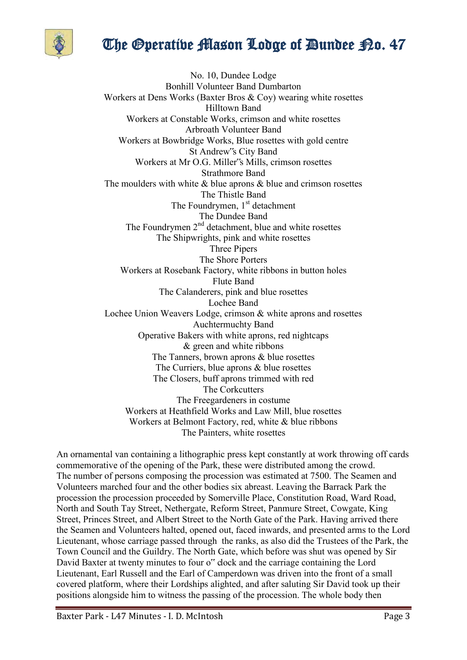

No. 10, Dundee Lodge Bonhill Volunteer Band Dumbarton Workers at Dens Works (Baxter Bros & Coy) wearing white rosettes Hilltown Band Workers at Constable Works, crimson and white rosettes Arbroath Volunteer Band Workers at Bowbridge Works, Blue rosettes with gold centre St Andrew"s City Band Workers at Mr O.G. Miller"s Mills, crimson rosettes Strathmore Band The moulders with white  $\&$  blue aprons  $\&$  blue and crimson rosettes The Thistle Band The Foundrymen,  $1<sup>st</sup>$  detachment The Dundee Band The Foundrymen 2<sup>nd</sup> detachment, blue and white rosettes The Shipwrights, pink and white rosettes Three Pipers The Shore Porters Workers at Rosebank Factory, white ribbons in button holes Flute Band The Calanderers, pink and blue rosettes Lochee Band Lochee Union Weavers Lodge, crimson & white aprons and rosettes Auchtermuchty Band Operative Bakers with white aprons, red nightcaps & green and white ribbons The Tanners, brown aprons & blue rosettes The Curriers, blue aprons & blue rosettes The Closers, buff aprons trimmed with red The Corkcutters The Freegardeners in costume Workers at Heathfield Works and Law Mill, blue rosettes Workers at Belmont Factory, red, white & blue ribbons The Painters, white rosettes

An ornamental van containing a lithographic press kept constantly at work throwing off cards commemorative of the opening of the Park, these were distributed among the crowd. The number of persons composing the procession was estimated at 7500. The Seamen and Volunteers marched four and the other bodies six abreast. Leaving the Barrack Park the procession the procession proceeded by Somerville Place, Constitution Road, Ward Road, North and South Tay Street, Nethergate, Reform Street, Panmure Street, Cowgate, King Street, Princes Street, and Albert Street to the North Gate of the Park. Having arrived there the Seamen and Volunteers halted, opened out, faced inwards, and presented arms to the Lord Lieutenant, whose carriage passed through the ranks, as also did the Trustees of the Park, the Town Council and the Guildry. The North Gate, which before was shut was opened by Sir David Baxter at twenty minutes to four o" clock and the carriage containing the Lord Lieutenant, Earl Russell and the Earl of Camperdown was driven into the front of a small covered platform, where their Lordships alighted, and after saluting Sir David took up their positions alongside him to witness the passing of the procession. The whole body then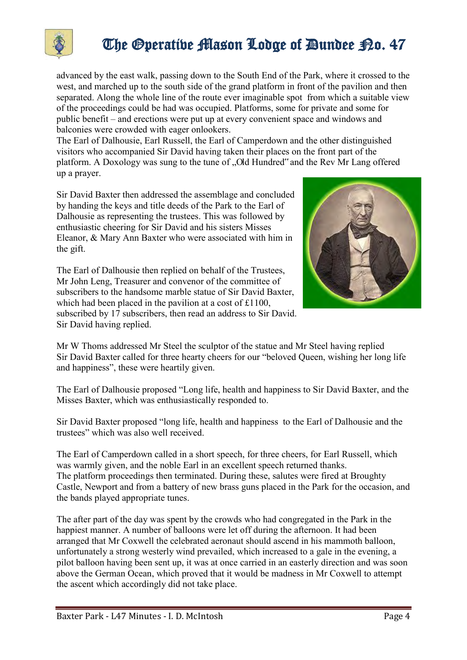

advanced by the east walk, passing down to the South End of the Park, where it crossed to the west, and marched up to the south side of the grand platform in front of the pavilion and then separated. Along the whole line of the route ever imaginable spot from which a suitable view of the proceedings could be had was occupied. Platforms, some for private and some for public benefit – and erections were put up at every convenient space and windows and balconies were crowded with eager onlookers.

The Earl of Dalhousie, Earl Russell, the Earl of Camperdown and the other distinguished visitors who accompanied Sir David having taken their places on the front part of the platform. A Doxology was sung to the tune of "Old Hundred" and the Rev Mr Lang offered up a prayer.

Sir David Baxter then addressed the assemblage and concluded by handing the keys and title deeds of the Park to the Earl of Dalhousie as representing the trustees. This was followed by enthusiastic cheering for Sir David and his sisters Misses Eleanor, & Mary Ann Baxter who were associated with him in the gift.

The Earl of Dalhousie then replied on behalf of the Trustees, Mr John Leng, Treasurer and convenor of the committee of subscribers to the handsome marble statue of Sir David Baxter, which had been placed in the pavilion at a cost of £1100, subscribed by 17 subscribers, then read an address to Sir David. Sir David having replied.



Mr W Thoms addressed Mr Steel the sculptor of the statue and Mr Steel having replied Sir David Baxter called for three hearty cheers for our "beloved Queen, wishing her long life and happiness", these were heartily given.

The Earl of Dalhousie proposed "Long life, health and happiness to Sir David Baxter, and the Misses Baxter, which was enthusiastically responded to.

Sir David Baxter proposed "long life, health and happiness to the Earl of Dalhousie and the trustees" which was also well received.

The Earl of Camperdown called in a short speech, for three cheers, for Earl Russell, which was warmly given, and the noble Earl in an excellent speech returned thanks. The platform proceedings then terminated. During these, salutes were fired at Broughty Castle, Newport and from a battery of new brass guns placed in the Park for the occasion, and the bands played appropriate tunes.

The after part of the day was spent by the crowds who had congregated in the Park in the happiest manner. A number of balloons were let off during the afternoon. It had been arranged that Mr Coxwell the celebrated aeronaut should ascend in his mammoth balloon, unfortunately a strong westerly wind prevailed, which increased to a gale in the evening, a pilot balloon having been sent up, it was at once carried in an easterly direction and was soon above the German Ocean, which proved that it would be madness in Mr Coxwell to attempt the ascent which accordingly did not take place.